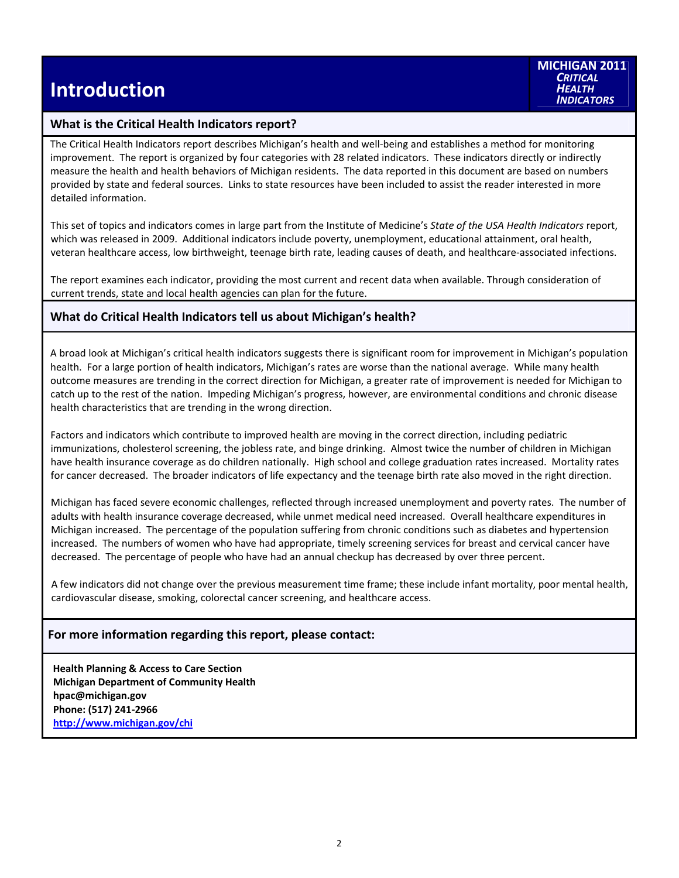#### **What is the Critical Health Indicators report?**

The Critical Health Indicators report describes Michigan's health and well‐being and establishes a method for monitoring improvement. The report is organized by four categories with 28 related indicators. These indicators directly or indirectly measure the health and health behaviors of Michigan residents. The data reported in this document are based on numbers provided by state and federal sources. Links to state resources have been included to assist the reader interested in more detailed information.

This set of topics and indicators comes in large part from the Institute of Medicine's *State of the USA Health Indicators* report, which was released in 2009. Additional indicators include poverty, unemployment, educational attainment, oral health, veteran healthcare access, low birthweight, teenage birth rate, leading causes of death, and healthcare‐associated infections.

The report examines each indicator, providing the most current and recent data when available. Through consideration of current trends, state and local health agencies can plan for the future.

#### **What do Critical Health Indicators tell us about Michigan's health?**

A broad look at Michigan's critical health indicators suggests there is significant room for improvement in Michigan's population health. For a large portion of health indicators, Michigan's rates are worse than the national average. While many health outcome measures are trending in the correct direction for Michigan, a greater rate of improvement is needed for Michigan to catch up to the rest of the nation. Impeding Michigan's progress, however, are environmental conditions and chronic disease health characteristics that are trending in the wrong direction.

Factors and indicators which contribute to improved health are moving in the correct direction, including pediatric immunizations, cholesterol screening, the jobless rate, and binge drinking. Almost twice the number of children in Michigan have health insurance coverage as do children nationally. High school and college graduation rates increased. Mortality rates for cancer decreased. The broader indicators of life expectancy and the teenage birth rate also moved in the right direction.

Michigan has faced severe economic challenges, reflected through increased unemployment and poverty rates. The number of adults with health insurance coverage decreased, while unmet medical need increased. Overall healthcare expenditures in Michigan increased. The percentage of the population suffering from chronic conditions such as diabetes and hypertension increased. The numbers of women who have had appropriate, timely screening services for breast and cervical cancer have decreased. The percentage of people who have had an annual checkup has decreased by over three percent.

A few indicators did not change over the previous measurement time frame; these include infant mortality, poor mental health, cardiovascular disease, smoking, colorectal cancer screening, and healthcare access.

### **For more information regarding this report, please contact:**

**Health Planning & Access to Care Section Michigan Department of Community Health hpac@michigan.gov Phone: (517) 241‐2966 http://www.michigan.gov/chi**